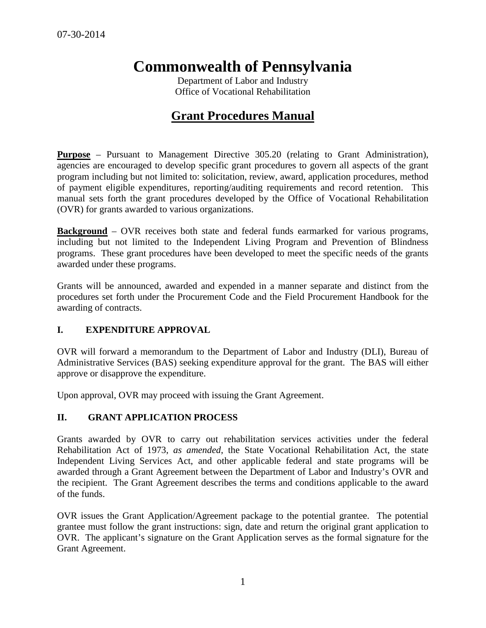# **Commonwealth of Pennsylvania**

Department of Labor and Industry Office of Vocational Rehabilitation

## **Grant Procedures Manual**

**Purpose** – Pursuant to Management Directive 305.20 (relating to Grant Administration), agencies are encouraged to develop specific grant procedures to govern all aspects of the grant program including but not limited to: solicitation, review, award, application procedures, method of payment eligible expenditures, reporting/auditing requirements and record retention. This manual sets forth the grant procedures developed by the Office of Vocational Rehabilitation (OVR) for grants awarded to various organizations.

**Background** – OVR receives both state and federal funds earmarked for various programs, including but not limited to the Independent Living Program and Prevention of Blindness programs. These grant procedures have been developed to meet the specific needs of the grants awarded under these programs.

Grants will be announced, awarded and expended in a manner separate and distinct from the procedures set forth under the Procurement Code and the Field Procurement Handbook for the awarding of contracts.

## **I. EXPENDITURE APPROVAL**

OVR will forward a memorandum to the Department of Labor and Industry (DLI), Bureau of Administrative Services (BAS) seeking expenditure approval for the grant. The BAS will either approve or disapprove the expenditure.

Upon approval, OVR may proceed with issuing the Grant Agreement.

## **II. GRANT APPLICATION PROCESS**

Grants awarded by OVR to carry out rehabilitation services activities under the federal Rehabilitation Act of 1973, *as amended*, the State Vocational Rehabilitation Act, the state Independent Living Services Act, and other applicable federal and state programs will be awarded through a Grant Agreement between the Department of Labor and Industry's OVR and the recipient. The Grant Agreement describes the terms and conditions applicable to the award of the funds.

OVR issues the Grant Application/Agreement package to the potential grantee. The potential grantee must follow the grant instructions: sign, date and return the original grant application to OVR. The applicant's signature on the Grant Application serves as the formal signature for the Grant Agreement.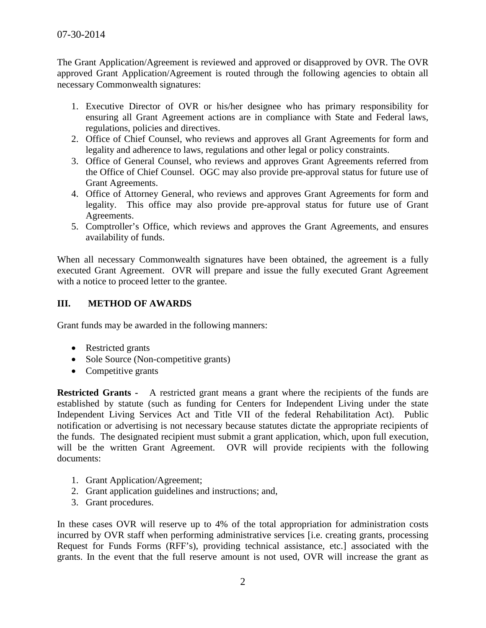The Grant Application/Agreement is reviewed and approved or disapproved by OVR. The OVR approved Grant Application/Agreement is routed through the following agencies to obtain all necessary Commonwealth signatures:

- 1. Executive Director of OVR or his/her designee who has primary responsibility for ensuring all Grant Agreement actions are in compliance with State and Federal laws, regulations, policies and directives.
- 2. Office of Chief Counsel, who reviews and approves all Grant Agreements for form and legality and adherence to laws, regulations and other legal or policy constraints.
- 3. Office of General Counsel, who reviews and approves Grant Agreements referred from the Office of Chief Counsel. OGC may also provide pre-approval status for future use of Grant Agreements.
- 4. Office of Attorney General, who reviews and approves Grant Agreements for form and legality. This office may also provide pre-approval status for future use of Grant Agreements.
- 5. Comptroller's Office, which reviews and approves the Grant Agreements, and ensures availability of funds.

When all necessary Commonwealth signatures have been obtained, the agreement is a fully executed Grant Agreement. OVR will prepare and issue the fully executed Grant Agreement with a notice to proceed letter to the grantee.

## **III. METHOD OF AWARDS**

Grant funds may be awarded in the following manners:

- Restricted grants
- Sole Source (Non-competitive grants)
- Competitive grants

**Restricted Grants -** A restricted grant means a grant where the recipients of the funds are established by statute (such as funding for Centers for Independent Living under the state Independent Living Services Act and Title VII of the federal Rehabilitation Act). Public notification or advertising is not necessary because statutes dictate the appropriate recipients of the funds. The designated recipient must submit a grant application, which, upon full execution, will be the written Grant Agreement. OVR will provide recipients with the following documents:

- 1. Grant Application/Agreement;
- 2. Grant application guidelines and instructions; and,
- 3. Grant procedures.

In these cases OVR will reserve up to 4% of the total appropriation for administration costs incurred by OVR staff when performing administrative services [i.e. creating grants, processing Request for Funds Forms (RFF's), providing technical assistance, etc.] associated with the grants. In the event that the full reserve amount is not used, OVR will increase the grant as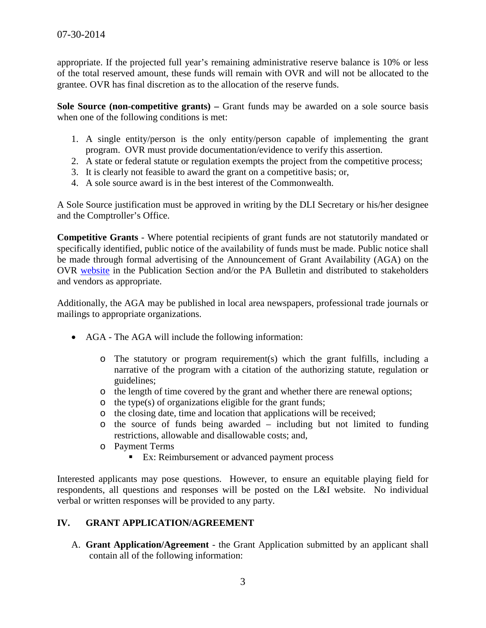appropriate. If the projected full year's remaining administrative reserve balance is 10% or less of the total reserved amount, these funds will remain with OVR and will not be allocated to the grantee. OVR has final discretion as to the allocation of the reserve funds.

**Sole Source (non-competitive grants) –** Grant funds may be awarded on a sole source basis when one of the following conditions is met:

- 1. A single entity/person is the only entity/person capable of implementing the grant program. OVR must provide documentation/evidence to verify this assertion.
- 2. A state or federal statute or regulation exempts the project from the competitive process;
- 3. It is clearly not feasible to award the grant on a competitive basis; or,
- 4. A sole source award is in the best interest of the Commonwealth.

A Sole Source justification must be approved in writing by the DLI Secretary or his/her designee and the Comptroller's Office.

**Competitive Grants** - Where potential recipients of grant funds are not statutorily mandated or specifically identified, public notice of the availability of funds must be made. Public notice shall be made through formal advertising of the Announcement of Grant Availability (AGA) on the OVR [website](http://www.dli.state.pa.us/portal/server.pt/community/vocational_rehabilitation/10356) in the Publication Section and/or the PA Bulletin and distributed to stakeholders and vendors as appropriate.

Additionally, the AGA may be published in local area newspapers, professional trade journals or mailings to appropriate organizations.

- AGA The AGA will include the following information:
	- $\circ$  The statutory or program requirement(s) which the grant fulfills, including a narrative of the program with a citation of the authorizing statute, regulation or guidelines;
	- o the length of time covered by the grant and whether there are renewal options;
	- o the type(s) of organizations eligible for the grant funds;
	- o the closing date, time and location that applications will be received;
	- o the source of funds being awarded including but not limited to funding restrictions, allowable and disallowable costs; and,
	- o Payment Terms
		- **Ex:** Reimbursement or advanced payment process

Interested applicants may pose questions. However, to ensure an equitable playing field for respondents, all questions and responses will be posted on the L&I website. No individual verbal or written responses will be provided to any party.

## **IV. GRANT APPLICATION/AGREEMENT**

A. **Grant Application/Agreement** - the Grant Application submitted by an applicant shall contain all of the following information: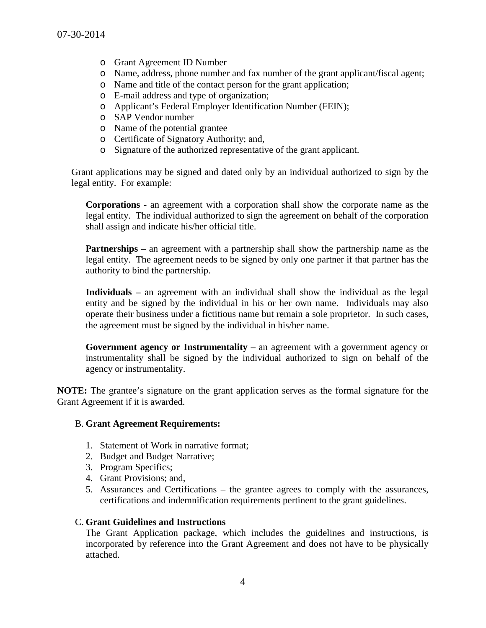- o Grant Agreement ID Number
- o Name, address, phone number and fax number of the grant applicant/fiscal agent;
- o Name and title of the contact person for the grant application;
- o E-mail address and type of organization;
- o Applicant's Federal Employer Identification Number (FEIN);
- o SAP Vendor number
- o Name of the potential grantee
- o Certificate of Signatory Authority; and,
- o Signature of the authorized representative of the grant applicant.

Grant applications may be signed and dated only by an individual authorized to sign by the legal entity. For example:

**Corporations -** an agreement with a corporation shall show the corporate name as the legal entity. The individual authorized to sign the agreement on behalf of the corporation shall assign and indicate his/her official title.

**Partnerships** – an agreement with a partnership shall show the partnership name as the legal entity. The agreement needs to be signed by only one partner if that partner has the authority to bind the partnership.

**Individuals –** an agreement with an individual shall show the individual as the legal entity and be signed by the individual in his or her own name. Individuals may also operate their business under a fictitious name but remain a sole proprietor. In such cases, the agreement must be signed by the individual in his/her name.

**Government agency or Instrumentality** – an agreement with a government agency or instrumentality shall be signed by the individual authorized to sign on behalf of the agency or instrumentality.

**NOTE:** The grantee's signature on the grant application serves as the formal signature for the Grant Agreement if it is awarded.

#### B. **Grant Agreement Requirements:**

- 1. Statement of Work in narrative format;
- 2. Budget and Budget Narrative;
- 3. Program Specifics;
- 4. Grant Provisions; and,
- 5. Assurances and Certifications the grantee agrees to comply with the assurances, certifications and indemnification requirements pertinent to the grant guidelines.

#### C. **Grant Guidelines and Instructions**

The Grant Application package, which includes the guidelines and instructions, is incorporated by reference into the Grant Agreement and does not have to be physically attached.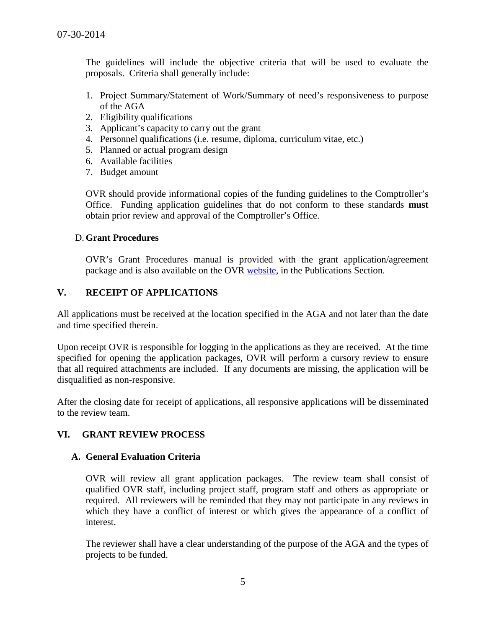The guidelines will include the objective criteria that will be used to evaluate the proposals. Criteria shall generally include:

- 1. Project Summary/Statement of Work/Summary of need's responsiveness to purpose of the AGA
- 2. Eligibility qualifications
- 3. Applicant's capacity to carry out the grant
- 4. Personnel qualifications (i.e. resume, diploma, curriculum vitae, etc.)
- 5. Planned or actual program design
- 6. Available facilities
- 7. Budget amount

OVR should provide informational copies of the funding guidelines to the Comptroller's Office. Funding application guidelines that do not conform to these standards **must** obtain prior review and approval of the Comptroller's Office.

#### D.**Grant Procedures**

OVR's Grant Procedures manual is provided with the grant application/agreement package and is also available on the OVR [website,](http://www.dli.state.pa.us/portal/server.pt/community/vocational_rehabilitation/10356) in the Publications Section.

## **V. RECEIPT OF APPLICATIONS**

All applications must be received at the location specified in the AGA and not later than the date and time specified therein.

Upon receipt OVR is responsible for logging in the applications as they are received. At the time specified for opening the application packages, OVR will perform a cursory review to ensure that all required attachments are included. If any documents are missing, the application will be disqualified as non-responsive.

After the closing date for receipt of applications, all responsive applications will be disseminated to the review team.

## **VI. GRANT REVIEW PROCESS**

#### **A. General Evaluation Criteria**

OVR will review all grant application packages. The review team shall consist of qualified OVR staff, including project staff, program staff and others as appropriate or required. All reviewers will be reminded that they may not participate in any reviews in which they have a conflict of interest or which gives the appearance of a conflict of interest.

The reviewer shall have a clear understanding of the purpose of the AGA and the types of projects to be funded.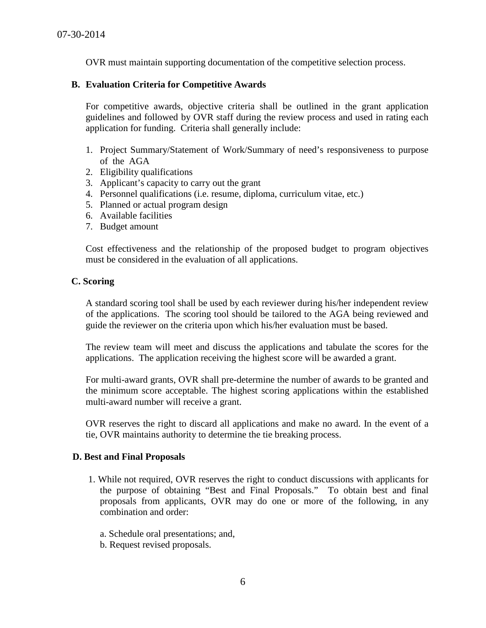OVR must maintain supporting documentation of the competitive selection process.

#### **B. Evaluation Criteria for Competitive Awards**

For competitive awards, objective criteria shall be outlined in the grant application guidelines and followed by OVR staff during the review process and used in rating each application for funding. Criteria shall generally include:

- 1. Project Summary/Statement of Work/Summary of need's responsiveness to purpose of the AGA
- 2. Eligibility qualifications
- 3. Applicant's capacity to carry out the grant
- 4. Personnel qualifications (i.e. resume, diploma, curriculum vitae, etc.)
- 5. Planned or actual program design
- 6. Available facilities
- 7. Budget amount

Cost effectiveness and the relationship of the proposed budget to program objectives must be considered in the evaluation of all applications.

#### **C. Scoring**

A standard scoring tool shall be used by each reviewer during his/her independent review of the applications. The scoring tool should be tailored to the AGA being reviewed and guide the reviewer on the criteria upon which his/her evaluation must be based.

The review team will meet and discuss the applications and tabulate the scores for the applications. The application receiving the highest score will be awarded a grant.

For multi-award grants, OVR shall pre-determine the number of awards to be granted and the minimum score acceptable. The highest scoring applications within the established multi-award number will receive a grant.

OVR reserves the right to discard all applications and make no award. In the event of a tie, OVR maintains authority to determine the tie breaking process.

#### **D. Best and Final Proposals**

- 1. While not required, OVR reserves the right to conduct discussions with applicants for the purpose of obtaining "Best and Final Proposals." To obtain best and final proposals from applicants, OVR may do one or more of the following, in any combination and order:
	- a. Schedule oral presentations; and,
	- b. Request revised proposals.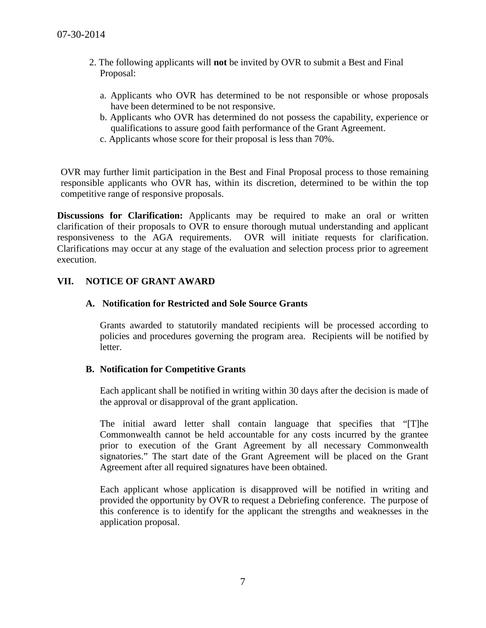- 2. The following applicants will **not** be invited by OVR to submit a Best and Final Proposal:
	- a. Applicants who OVR has determined to be not responsible or whose proposals have been determined to be not responsive.
	- b. Applicants who OVR has determined do not possess the capability, experience or qualifications to assure good faith performance of the Grant Agreement.
	- c. Applicants whose score for their proposal is less than 70%.

OVR may further limit participation in the Best and Final Proposal process to those remaining responsible applicants who OVR has, within its discretion, determined to be within the top competitive range of responsive proposals.

**Discussions for Clarification:** Applicants may be required to make an oral or written clarification of their proposals to OVR to ensure thorough mutual understanding and applicant responsiveness to the AGA requirements. OVR will initiate requests for clarification. Clarifications may occur at any stage of the evaluation and selection process prior to agreement execution.

## **VII. NOTICE OF GRANT AWARD**

## **A. Notification for Restricted and Sole Source Grants**

Grants awarded to statutorily mandated recipients will be processed according to policies and procedures governing the program area. Recipients will be notified by letter.

#### **B. Notification for Competitive Grants**

Each applicant shall be notified in writing within 30 days after the decision is made of the approval or disapproval of the grant application.

The initial award letter shall contain language that specifies that "[T]he Commonwealth cannot be held accountable for any costs incurred by the grantee prior to execution of the Grant Agreement by all necessary Commonwealth signatories." The start date of the Grant Agreement will be placed on the Grant Agreement after all required signatures have been obtained.

Each applicant whose application is disapproved will be notified in writing and provided the opportunity by OVR to request a Debriefing conference. The purpose of this conference is to identify for the applicant the strengths and weaknesses in the application proposal.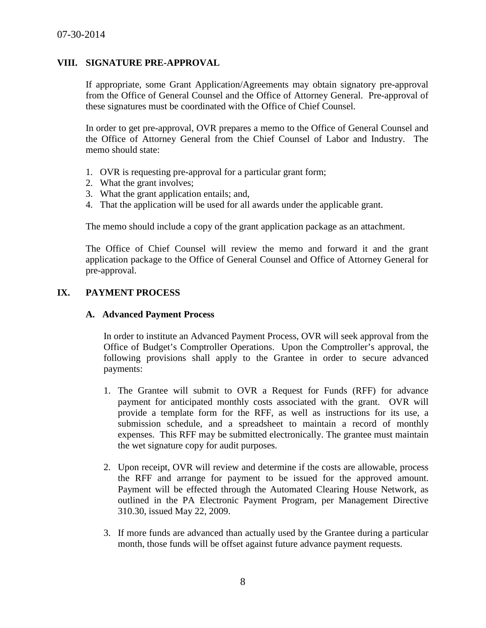### **VIII. SIGNATURE PRE-APPROVAL**

If appropriate, some Grant Application/Agreements may obtain signatory pre-approval from the Office of General Counsel and the Office of Attorney General. Pre-approval of these signatures must be coordinated with the Office of Chief Counsel.

In order to get pre-approval, OVR prepares a memo to the Office of General Counsel and the Office of Attorney General from the Chief Counsel of Labor and Industry. The memo should state:

- 1. OVR is requesting pre-approval for a particular grant form;
- 2. What the grant involves;
- 3. What the grant application entails; and,
- 4. That the application will be used for all awards under the applicable grant.

The memo should include a copy of the grant application package as an attachment.

The Office of Chief Counsel will review the memo and forward it and the grant application package to the Office of General Counsel and Office of Attorney General for pre-approval.

## **IX. PAYMENT PROCESS**

#### **A. Advanced Payment Process**

In order to institute an Advanced Payment Process, OVR will seek approval from the Office of Budget's Comptroller Operations. Upon the Comptroller's approval, the following provisions shall apply to the Grantee in order to secure advanced payments:

- 1. The Grantee will submit to OVR a Request for Funds (RFF) for advance payment for anticipated monthly costs associated with the grant. OVR will provide a template form for the RFF, as well as instructions for its use, a submission schedule, and a spreadsheet to maintain a record of monthly expenses. This RFF may be submitted electronically. The grantee must maintain the wet signature copy for audit purposes.
- 2. Upon receipt, OVR will review and determine if the costs are allowable, process the RFF and arrange for payment to be issued for the approved amount. Payment will be effected through the Automated Clearing House Network, as outlined in the PA Electronic Payment Program, per Management Directive 310.30, issued May 22, 2009.
- 3. If more funds are advanced than actually used by the Grantee during a particular month, those funds will be offset against future advance payment requests.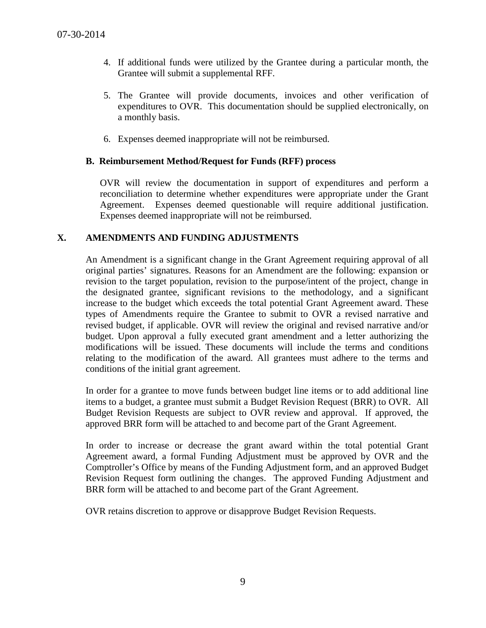- 4. If additional funds were utilized by the Grantee during a particular month, the Grantee will submit a supplemental RFF.
- 5. The Grantee will provide documents, invoices and other verification of expenditures to OVR. This documentation should be supplied electronically, on a monthly basis.
- 6. Expenses deemed inappropriate will not be reimbursed.

## **B. Reimbursement Method/Request for Funds (RFF) process**

OVR will review the documentation in support of expenditures and perform a reconciliation to determine whether expenditures were appropriate under the Grant Agreement. Expenses deemed questionable will require additional justification. Expenses deemed inappropriate will not be reimbursed.

## **X. AMENDMENTS AND FUNDING ADJUSTMENTS**

An Amendment is a significant change in the Grant Agreement requiring approval of all original parties' signatures. Reasons for an Amendment are the following: expansion or revision to the target population, revision to the purpose/intent of the project, change in the designated grantee, significant revisions to the methodology, and a significant increase to the budget which exceeds the total potential Grant Agreement award. These types of Amendments require the Grantee to submit to OVR a revised narrative and revised budget, if applicable. OVR will review the original and revised narrative and/or budget. Upon approval a fully executed grant amendment and a letter authorizing the modifications will be issued. These documents will include the terms and conditions relating to the modification of the award. All grantees must adhere to the terms and conditions of the initial grant agreement.

In order for a grantee to move funds between budget line items or to add additional line items to a budget, a grantee must submit a Budget Revision Request (BRR) to OVR. All Budget Revision Requests are subject to OVR review and approval. If approved, the approved BRR form will be attached to and become part of the Grant Agreement.

In order to increase or decrease the grant award within the total potential Grant Agreement award, a formal Funding Adjustment must be approved by OVR and the Comptroller's Office by means of the Funding Adjustment form, and an approved Budget Revision Request form outlining the changes. The approved Funding Adjustment and BRR form will be attached to and become part of the Grant Agreement.

OVR retains discretion to approve or disapprove Budget Revision Requests.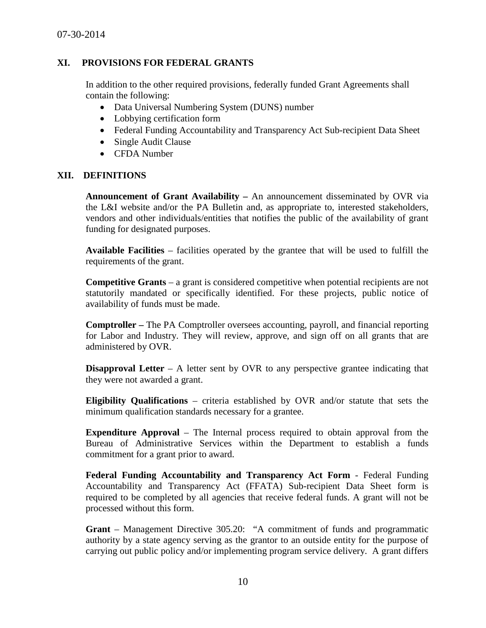## **XI. PROVISIONS FOR FEDERAL GRANTS**

In addition to the other required provisions, federally funded Grant Agreements shall contain the following:

- Data Universal Numbering System (DUNS) number
- Lobbying certification form
- Federal Funding Accountability and Transparency Act Sub-recipient Data Sheet
- Single Audit Clause
- CFDA Number

#### **XII. DEFINITIONS**

**Announcement of Grant Availability –** An announcement disseminated by OVR via the L&I website and/or the PA Bulletin and, as appropriate to, interested stakeholders, vendors and other individuals/entities that notifies the public of the availability of grant funding for designated purposes.

**Available Facilities** – facilities operated by the grantee that will be used to fulfill the requirements of the grant.

**Competitive Grants** – a grant is considered competitive when potential recipients are not statutorily mandated or specifically identified. For these projects, public notice of availability of funds must be made.

**Comptroller –** The PA Comptroller oversees accounting, payroll, and financial reporting for Labor and Industry. They will review, approve, and sign off on all grants that are administered by OVR.

**Disapproval Letter** – A letter sent by OVR to any perspective grantee indicating that they were not awarded a grant.

**Eligibility Qualifications** – criteria established by OVR and/or statute that sets the minimum qualification standards necessary for a grantee.

**Expenditure Approval** – The Internal process required to obtain approval from the Bureau of Administrative Services within the Department to establish a funds commitment for a grant prior to award.

**Federal Funding Accountability and Transparency Act Form** - Federal Funding Accountability and Transparency Act (FFATA) Sub-recipient Data Sheet form is required to be completed by all agencies that receive federal funds. A grant will not be processed without this form.

**Grant** – Management Directive 305.20: "A commitment of funds and programmatic authority by a state agency serving as the grantor to an outside entity for the purpose of carrying out public policy and/or implementing program service delivery. A grant differs